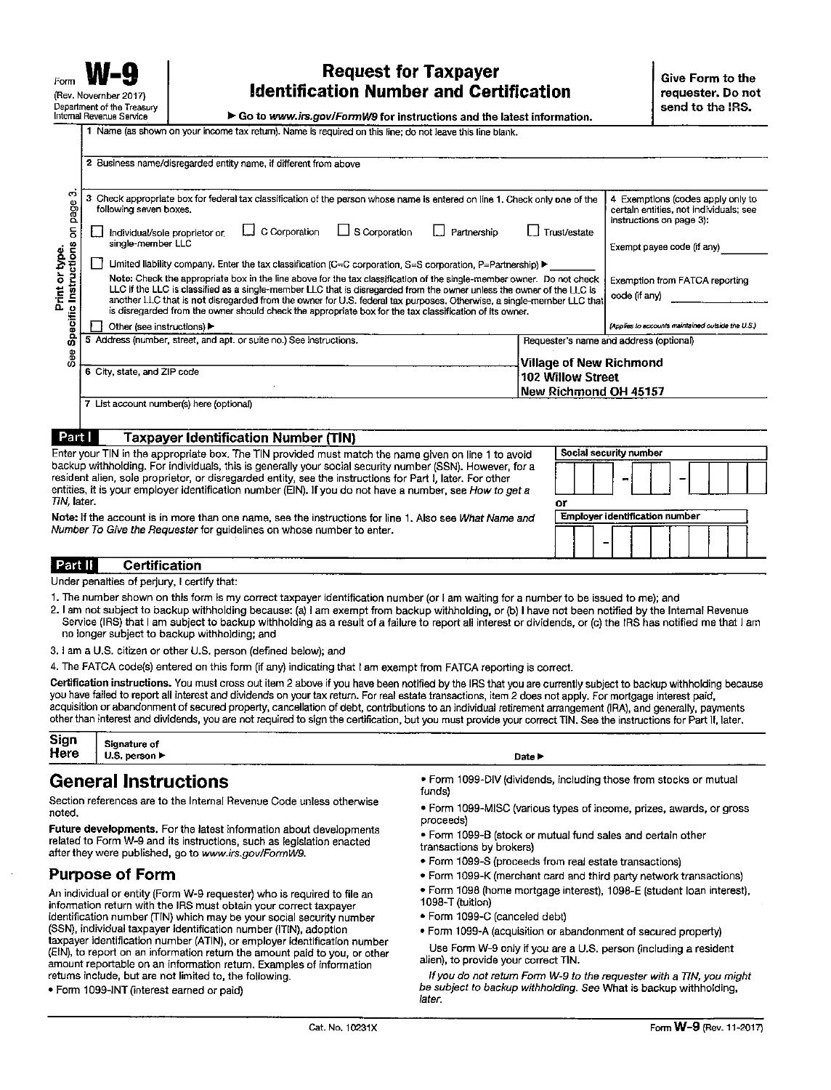## **Request for Taxpayer Identification Number and Certification**

Go to www.irs.gov/FormW9 for instructions and the latest information.

| C<br>page<br>$\overline{5}$<br>Instructions<br>Print or type.<br>Specific<br>See | 2 Business name/disregarded entity name, if different from above                                                                                                                                                                                                                                                                                                                                                                                                                                                                                                                                                                                                                                                                                                                                                                                                                                  |                                                                                                                                                                                                                                                                              |  |  |
|----------------------------------------------------------------------------------|---------------------------------------------------------------------------------------------------------------------------------------------------------------------------------------------------------------------------------------------------------------------------------------------------------------------------------------------------------------------------------------------------------------------------------------------------------------------------------------------------------------------------------------------------------------------------------------------------------------------------------------------------------------------------------------------------------------------------------------------------------------------------------------------------------------------------------------------------------------------------------------------------|------------------------------------------------------------------------------------------------------------------------------------------------------------------------------------------------------------------------------------------------------------------------------|--|--|
|                                                                                  | Check appropriate box for federal tax classification of the person whose name is entered on line 1. Check only one of the<br>з<br>following seven boxes.<br>$\Box$ C Corporation<br>$\Box$ S Corporation<br>Individual/sole proprietor or<br>single-member LLC<br>Limited liability company. Enter the tax classification (C=C corporation, S=S corporation, P=Partnership) ▶<br>Note: Check the appropriate box in the line above for the tax classification of the single-member owner. Do not check<br>LLC if the LLC is classified as a single-member LLC that is disregarded from the owner unless the owner of the LLC is<br>another LLC that is not disregarded from the owner for U.S. federal tax purposes. Otherwise, a single-member LLC that<br>is disregarded from the owner should check the appropriate box for the tax classification of its owner.<br>Other (see instructions) ▶ | 4 Exemptions (codes apply only to<br>certain entities, not individuals; see<br>instructions on page 3):<br>Trust/estate<br>Partnership<br>Exempt payee code (if any)<br>Exemption from FATCA reporting<br>code (if any)<br>(Applies to accounts maintained outside the U.S.) |  |  |
|                                                                                  | 5 Address (number, street, and apt. or suite no.) See instructions.                                                                                                                                                                                                                                                                                                                                                                                                                                                                                                                                                                                                                                                                                                                                                                                                                               | Requester's name and address (optional)                                                                                                                                                                                                                                      |  |  |
|                                                                                  | 6 City, state, and ZIP code                                                                                                                                                                                                                                                                                                                                                                                                                                                                                                                                                                                                                                                                                                                                                                                                                                                                       | <b>Village of New Richmond</b><br>102 Willow Street<br>New Richmond OH 45157                                                                                                                                                                                                 |  |  |
|                                                                                  | 7 List account number(s) here (optional)                                                                                                                                                                                                                                                                                                                                                                                                                                                                                                                                                                                                                                                                                                                                                                                                                                                          |                                                                                                                                                                                                                                                                              |  |  |
|                                                                                  | Part I<br><b>Taxpayer Identification Number (TIN)</b>                                                                                                                                                                                                                                                                                                                                                                                                                                                                                                                                                                                                                                                                                                                                                                                                                                             |                                                                                                                                                                                                                                                                              |  |  |

backup withholding. For individuals, this is generally your social security number (SSN). However, for a resident alien, sole proprietor, or disregarded entity, see the instructions for Part I, later. For other entities, it is your employer identification number (EIN). If you do not have a number, see How to get a TIN, later.

Note: If the account is in more than one name, see the instructions for line 1. Also see What Name and Number To Give the Requester for guidelines on whose number to enter.

## Part II **Certification**

Under penalties of perjury, I certify that:

- 1. The number shown on this form is my correct taxpayer identification number (or I am waiting for a number to be issued to me); and
- 2. I am not subject to backup withholding because: (a) I am exempt from backup withholding, or (b) I have not been notified by the Internal Revenue Service (IRS) that I am subject to backup withholding as a result of a failure to report all interest or dividends, or (c) the IRS has notified me that I am no longer subject to backup withholding; and
- 3. I am a U.S. citizen or other U.S. person (defined below); and

4. The FATCA code(s) entered on this form (if any) indicating that I am exempt from FATCA reporting is correct.

Certification instructions. You must cross out item 2 above if you have been notified by the IRS that you are currently subject to backup withholding because you have failed to report all interest and dividends on your tax return. For real estate transactions, item 2 does not apply. For mortgage interest paid, acquisition or abandonment of secured property, cancellation of debt, contributions to an individual retirement arrangement (IRA), and generally, payments other than interest and dividends, you are not required to sign the certification, but you must provide your correct TIN. See the instructions for Part II, later.

| <b>Sign</b>                                    | <b>Signature of</b> | ---------------  | ---------- |  |
|------------------------------------------------|---------------------|------------------|------------|--|
| Here<br>__________<br>$\overline{\phantom{a}}$ | U.S. person ►       | Date I<br>------ |            |  |

## **General Instructions**

Section references are to the Internal Revenue Code unless otherwise haton

Future developments. For the latest information about developments related to Form W-9 and its instructions, such as legislation enacted after they were published, go to www.irs.gov/FormW9.

## **Purpose of Form**

An individual or entity (Form W-9 requester) who is required to file an information return with the IRS must obtain your correct taxpayer identification number (TIN) which may be your social security number (SSN), individual taxpayer identification number (ITIN), adoption taxpayer identification number (ATIN), or employer identification number (EIN), to report on an information return the amount paid to you, or other amount reportable on an information return. Examples of information returns include, but are not limited to, the following.

. Form 1099-INT (interest earned or paid)

- . Form 1099-DIV (dividends, including those from stocks or mutual funds)
- · Form 1099-MISC (various types of income, prizes, awards, or gross proceeds)
- . Form 1099-B (stock or mutual fund sales and certain other transactions by brokers)

0ř

**Employer identification number** 

- Form 1099-S (proceeds from real estate transactions)
- . Form 1099-K (merchant card and third party network transactions)
- · Form 1098 (home mortgage interest), 1098-E (student loan interest), 1098-T (tuition)
- · Form 1099-C (canceled debt)
- . Form 1099-A (acquisition or abandonment of secured property)

Use Form W-9 only if you are a U.S. person (including a resident alien), to provide your correct TIN.

If you do not return Form W-9 to the requester with a TIN, you might be subject to backup withholding. See What is backup withholding, later.